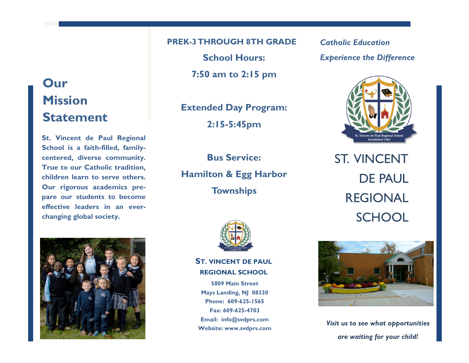# **Our Mission Statement**

**St. Vincent de Paul Regional School is a faith-filled, familycentered, diverse community. True to our Catholic tradition, children learn to serve others. Our rigorous academics prepare our students to become effective leaders in an everchanging global society.**



**PREK-3 THROUGH 8TH GRADE**

**School Hours:**

**7:50 am to 2:15 pm**

**Extended Day Program: 2:15-5:45pm**

**Bus Service: Hamilton & Egg Harbor Townships**



**ST. VINCENT DE PAUL REGIONAL SCHOOL**

**5809 Main Street Mays Landing, NJ 08330 Phone: 609-625-1565 Fax: 609-625-4703 Email: info@svdprs.com Website: www.svdprs.com** *Catholic Education Experience the Difference*



ST. VINCENT DE PAUL REGIONAL **SCHOOL** 



*Visit us to see what opportunities are waiting for your child!*